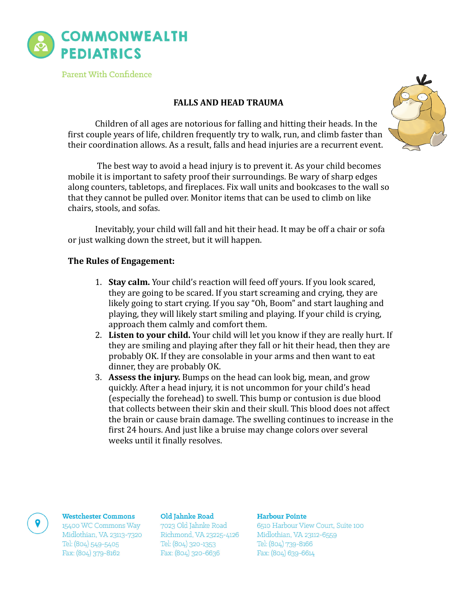

Parent With Confidence

# **FALLS AND HEAD TRAUMA**

Children of all ages are notorious for falling and hitting their heads. In the first couple years of life, children frequently try to walk, run, and climb faster than their coordination allows. As a result, falls and head injuries are a recurrent event.

The best way to avoid a head injury is to prevent it. As your child becomes mobile it is important to safety proof their surroundings. Be wary of sharp edges along counters, tabletops, and fireplaces. Fix wall units and bookcases to the wall so that they cannot be pulled over. Monitor items that can be used to climb on like chairs, stools, and sofas.

Inevitably, your child will fall and hit their head. It may be off a chair or sofa or just walking down the street, but it will happen.

## **The Rules of Engagement:**

- 1. **Stay calm.** Your child's reaction will feed off yours. If you look scared, they are going to be scared. If you start screaming and crying, they are likely going to start crying. If you say "Oh, Boom" and start laughing and playing, they will likely start smiling and playing. If your child is crying, approach them calmly and comfort them.
- 2. Listen to your child. Your child will let you know if they are really hurt. If they are smiling and playing after they fall or hit their head, then they are probably OK. If they are consolable in your arms and then want to eat dinner, they are probably OK.
- 3. Assess the injury. Bumps on the head can look big, mean, and grow quickly. After a head injury, it is not uncommon for your child's head (especially the forehead) to swell. This bump or contusion is due blood that collects between their skin and their skull. This blood does not affect the brain or cause brain damage. The swelling continues to increase in the first 24 hours. And just like a bruise may change colors over several weeks until it finally resolves.

### **Westchester Commons**

15400 WC Commons Way Midlothian, VA 23113-7320 Tel: (804) 549-5405 Fax: (804) 379-8162

#### Old Jahnke Road

7023 Old Jahnke Road Richmond, VA 23225-4126 Tel: (804) 320-1353 Fax: (804) 320-6636

## Harbour Pointe

6510 Harbour View Court, Suite 100 Midlothian, VA 23112-6559 Tel: (804) 739-8166 Fax: (804) 639-6614